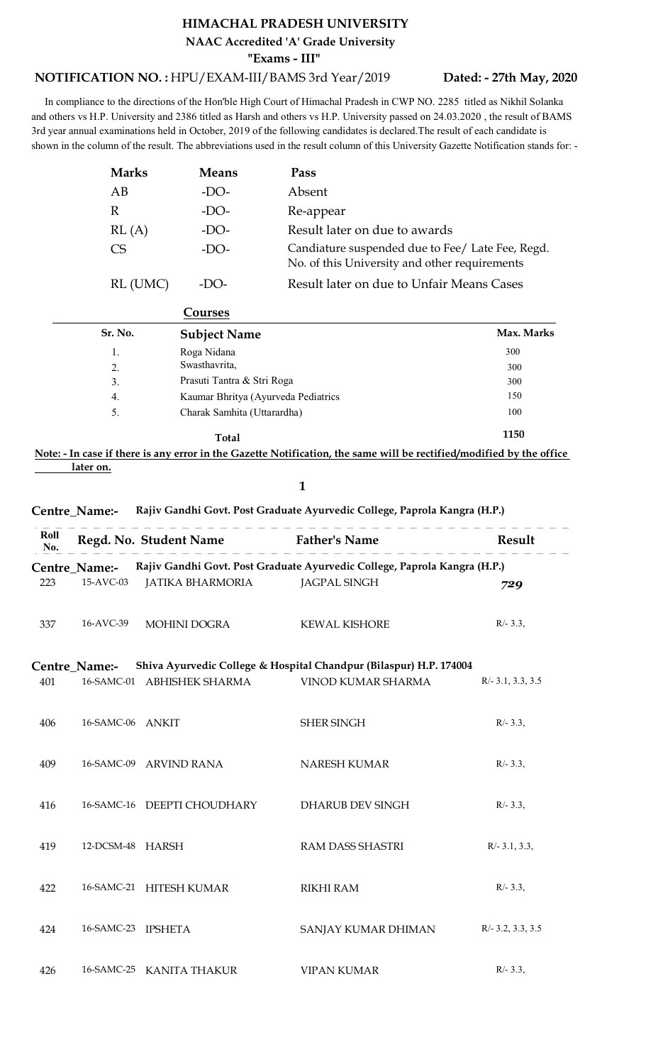## HIMACHAL PRADESH UNIVERSITY

## NOTIFICATION NO. : HPU/EXAM-III/BAMS 3rd Year/2019 Dated: - 27th May, 2

 In compliance to the directions of the Hon'ble High Court of Himachal Pradesh in CWP NO. 2285 titled as Nikhil Solanka and others vs H.P. University and 2386 titled as Harsh and others vs H.P. University passed on 24.03.2020 , the result of BAMS 3rd year annual examinations held in October, 2019 of the following candidates is declared.The result of each candidate is shown in the column of the result. The abbreviations used in the result column of this University Gazette Notification stands for: -

|              |              | HIMACHAL PRADESH UNIVERSITY                                                                                                                                                                                                |                                                                                                                                                                                                                                         |
|--------------|--------------|----------------------------------------------------------------------------------------------------------------------------------------------------------------------------------------------------------------------------|-----------------------------------------------------------------------------------------------------------------------------------------------------------------------------------------------------------------------------------------|
|              |              | NAAC Accredited 'A' Grade University<br>"Exams - III"                                                                                                                                                                      |                                                                                                                                                                                                                                         |
|              |              | TION NO.: HPU/EXAM-III/BAMS 3rd Year/2019                                                                                                                                                                                  | Dated: - 27th May, 2020                                                                                                                                                                                                                 |
|              |              | ce to the directions of the Hon'ble High Court of Himachal Pradesh in CWP NO. 2285 titled as Nikhil Solanka<br>examinations held in October, 2019 of the following candidates is declared. The result of each candidate is | P. University and 2386 titled as Harsh and others vs H.P. University passed on 24.03.2020, the result of BAMS.<br>lumn of the result. The abbreviations used in the result column of this University Gazette Notification stands for: - |
| <b>Marks</b> | <b>Means</b> | Pass                                                                                                                                                                                                                       |                                                                                                                                                                                                                                         |
| AB           | $-DO-$       | Absent                                                                                                                                                                                                                     |                                                                                                                                                                                                                                         |
| $\mathbb{R}$ | $-DO-$       | Re-appear                                                                                                                                                                                                                  |                                                                                                                                                                                                                                         |
| RL(A)        | $-DO-$       | Result later on due to awards                                                                                                                                                                                              |                                                                                                                                                                                                                                         |
| <b>CS</b>    | $-DO-$       | No. of this University and other requirements                                                                                                                                                                              | Candiature suspended due to Fee/ Late Fee, Regd.                                                                                                                                                                                        |
| RL (UMC)     | $-DO-$       | Result later on due to Unfair Means Cases                                                                                                                                                                                  |                                                                                                                                                                                                                                         |

|             |                     | RL (UMC)<br>$-DO-$                  | Result later on due to Unfair Means Cases                                                                           |            |
|-------------|---------------------|-------------------------------------|---------------------------------------------------------------------------------------------------------------------|------------|
|             |                     | Courses                             |                                                                                                                     |            |
|             | Sr. No.             | <b>Subject Name</b>                 |                                                                                                                     | Max. Marks |
|             | 1.                  | Roga Nidana                         |                                                                                                                     | 300        |
|             | Swasthavrita,<br>2. |                                     |                                                                                                                     | 300        |
|             | 3.                  | Prasuti Tantra & Stri Roga          |                                                                                                                     | 300        |
|             | 4.                  | Kaumar Bhritya (Ayurveda Pediatrics |                                                                                                                     | 150        |
|             | 5.                  | Charak Samhita (Uttarardha)         |                                                                                                                     | 100        |
|             |                     | <b>Total</b>                        |                                                                                                                     | 1150       |
|             |                     |                                     | ote: - In case if there is any error in the Gazette Notification, the same will be rectified/modified by the office |            |
|             | later on.           |                                     |                                                                                                                     |            |
|             |                     |                                     | 1                                                                                                                   |            |
|             | entre_Name:-        |                                     | Rajiv Gandhi Govt. Post Graduate Ayurvedic College, Paprola Kangra (H.P.)                                           |            |
| Roll<br>No. |                     | Regd. No. Student Name              | <b>Father's Name</b>                                                                                                | Result     |
|             | entre_Name:-        |                                     | Rajiv Gandhi Govt. Post Graduate Ayurvedic College, Paprola Kangra (H.P.)                                           |            |
| 23          | 15-AVC-03           | <b>JATIKA BHARMORIA</b>             | <b>JAGPAL SINGH</b>                                                                                                 | 729        |
|             | $\overline{1}$      |                                     |                                                                                                                     |            |

## $1 \qquad \qquad$

| Roll<br>No. |                            | Regd. No. Student Name      | <b>Father's Name</b>                                                                             | Result              |
|-------------|----------------------------|-----------------------------|--------------------------------------------------------------------------------------------------|---------------------|
| 223         | Centre Name:-<br>15-AVC-03 | <b>JATIKA BHARMORIA</b>     | Rajiv Gandhi Govt. Post Graduate Ayurvedic College, Paprola Kangra (H.P.)<br><b>JAGPAL SINGH</b> | 729                 |
| 337         | 16-AVC-39                  | <b>MOHINI DOGRA</b>         | <b>KEWAL KISHORE</b>                                                                             | $R/- 3.3,$          |
| 401         | Centre_Name:-              | 16-SAMC-01 ABHISHEK SHARMA  | Shiva Ayurvedic College & Hospital Chandpur (Bilaspur) H.P. 174004<br>VINOD KUMAR SHARMA         | $R/- 3.1, 3.3, 3.5$ |
| 406         | 16-SAMC-06 ANKIT           |                             | <b>SHER SINGH</b>                                                                                | $R/- 3.3,$          |
| 409         |                            | 16-SAMC-09 ARVIND RANA      | <b>NARESH KUMAR</b>                                                                              | $R/- 3.3,$          |
| 416         |                            | 16-SAMC-16 DEEPTI CHOUDHARY | DHARUB DEV SINGH                                                                                 | $R/- 3.3,$          |
| 419         | 12-DCSM-48 HARSH           |                             | RAM DASS SHASTRI                                                                                 | $R/- 3.1, 3.3,$     |
| 422         |                            | 16-SAMC-21 HITESH KUMAR     | <b>RIKHI RAM</b>                                                                                 | $R/- 3.3,$          |

 424 16-SAMC-23 IPSHETA SANJAY KUMAR DHIMAN R/- 3.2, 3.3, 3.5 426 16-SAMC-25 KANITA THAKUR VIPAN KUMAR R/- 3.3,